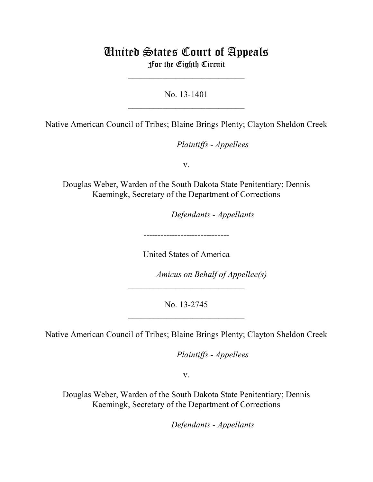# United States Court of Appeals For the Eighth Circuit

\_\_\_\_\_\_\_\_\_\_\_\_\_\_\_\_\_\_\_\_\_\_\_\_\_\_\_

No. 13-1401  $\mathcal{L}_\text{max}$  , which is a set of the set of the set of the set of the set of the set of the set of the set of the set of the set of the set of the set of the set of the set of the set of the set of the set of the set of

Native American Council of Tribes; Blaine Brings Plenty; Clayton Sheldon Creek

*Plaintiffs - Appellees* 

v.

Douglas Weber, Warden of the South Dakota State Penitentiary; Dennis Kaemingk, Secretary of the Department of Corrections

lllllllllllllllllllll *Defendants - Appellants*

------------------------------

United States of America

*Amicus on Behalf of Appellee(s)* 

No. 13-2745 \_\_\_\_\_\_\_\_\_\_\_\_\_\_\_\_\_\_\_\_\_\_\_\_\_\_\_

 $\mathcal{L}_\text{max}$  , which is a set of the set of the set of the set of the set of the set of the set of the set of the set of the set of the set of the set of the set of the set of the set of the set of the set of the set of

Native American Council of Tribes; Blaine Brings Plenty; Clayton Sheldon Creek

*Plaintiffs - Appellees* 

v.

Douglas Weber, Warden of the South Dakota State Penitentiary; Dennis Kaemingk, Secretary of the Department of Corrections

lllllllllllllllllllll *Defendants - Appellants*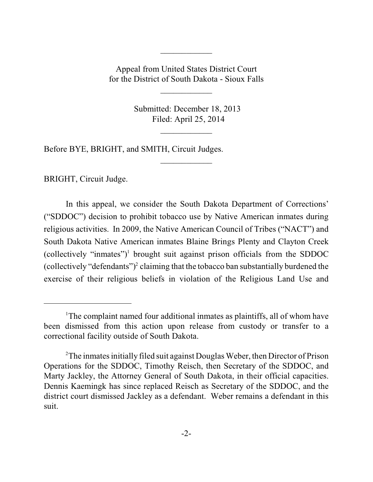Appeal from United States District Court for the District of South Dakota - Sioux Falls

\_\_\_\_\_\_\_\_\_\_\_\_

 $\frac{1}{2}$ 

 Submitted: December 18, 2013 Filed: April 25, 2014

 $\frac{1}{2}$ 

 $\frac{1}{2}$ 

Before BYE, BRIGHT, and SMITH, Circuit Judges.

BRIGHT, Circuit Judge.

In this appeal, we consider the South Dakota Department of Corrections' ("SDDOC") decision to prohibit tobacco use by Native American inmates during religious activities. In 2009, the Native American Council of Tribes ("NACT") and South Dakota Native American inmates Blaine Brings Plenty and Clayton Creek (collectively "inmates")<sup>1</sup> brought suit against prison officials from the SDDOC (collectively "defendants")<sup>2</sup> claiming that the tobacco ban substantially burdened the exercise of their religious beliefs in violation of the Religious Land Use and

<sup>&</sup>lt;sup>1</sup>The complaint named four additional inmates as plaintiffs, all of whom have been dismissed from this action upon release from custody or transfer to a correctional facility outside of South Dakota.

 $2$ The inmates initially filed suit against Douglas Weber, then Director of Prison Operations for the SDDOC, Timothy Reisch, then Secretary of the SDDOC, and Marty Jackley, the Attorney General of South Dakota, in their official capacities. Dennis Kaemingk has since replaced Reisch as Secretary of the SDDOC, and the district court dismissed Jackley as a defendant. Weber remains a defendant in this suit.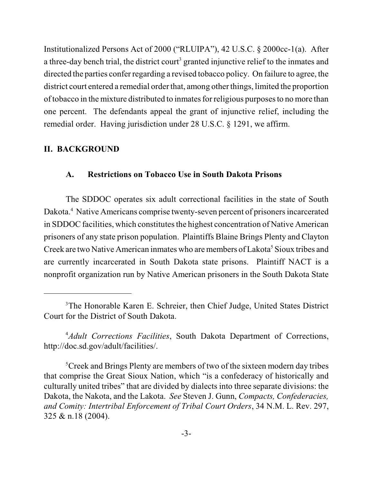Institutionalized Persons Act of 2000 ("RLUIPA"), 42 U.S.C. § 2000cc-1(a). After a three-day bench trial, the district court<sup>3</sup> granted injunctive relief to the inmates and directed the parties confer regarding a revised tobacco policy. On failure to agree, the district court entered a remedial order that, among other things, limited the proportion of tobacco in the mixture distributed to inmates for religious purposes to no more than one percent. The defendants appeal the grant of injunctive relief, including the remedial order. Having jurisdiction under 28 U.S.C. § 1291, we affirm.

# **II. BACKGROUND**

## **A. Restrictions on Tobacco Use in South Dakota Prisons**

The SDDOC operates six adult correctional facilities in the state of South Dakota.<sup>4</sup> Native Americans comprise twenty-seven percent of prisoners incarcerated in SDDOC facilities, which constitutes the highest concentration of Native American prisoners of any state prison population. Plaintiffs Blaine Brings Plenty and Clayton Creek are two Native American inmates who are members of Lakota<sup>5</sup> Sioux tribes and are currently incarcerated in South Dakota state prisons. Plaintiff NACT is a nonprofit organization run by Native American prisoners in the South Dakota State

<sup>&</sup>lt;sup>3</sup>The Honorable Karen E. Schreier, then Chief Judge, United States District Court for the District of South Dakota.

*Adult Corrections Facilities*, South Dakota Department of Corrections, 4 http://doc.sd.gov/adult/facilities/.

<sup>&</sup>lt;sup>5</sup>Creek and Brings Plenty are members of two of the sixteen modern day tribes that comprise the Great Sioux Nation, which "is a confederacy of historically and culturally united tribes" that are divided by dialects into three separate divisions: the Dakota, the Nakota, and the Lakota. *See* Steven J. Gunn, *Compacts, Confederacies, and Comity: Intertribal Enforcement of Tribal Court Orders*, 34 N.M. L. Rev. 297, 325 & n.18 (2004).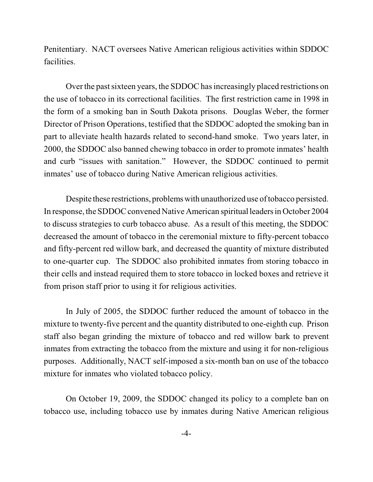Penitentiary. NACT oversees Native American religious activities within SDDOC facilities.

Over the past sixteen years, the SDDOC has increasingly placed restrictions on the use of tobacco in its correctional facilities. The first restriction came in 1998 in the form of a smoking ban in South Dakota prisons. Douglas Weber, the former Director of Prison Operations, testified that the SDDOC adopted the smoking ban in part to alleviate health hazards related to second-hand smoke. Two years later, in 2000, the SDDOC also banned chewing tobacco in order to promote inmates' health and curb "issues with sanitation." However, the SDDOC continued to permit inmates' use of tobacco during Native American religious activities.

Despite these restrictions, problems with unauthorized use of tobacco persisted. In response, the SDDOC convened Native American spiritual leaders in October 2004 to discuss strategies to curb tobacco abuse. As a result of this meeting, the SDDOC decreased the amount of tobacco in the ceremonial mixture to fifty-percent tobacco and fifty-percent red willow bark, and decreased the quantity of mixture distributed to one-quarter cup. The SDDOC also prohibited inmates from storing tobacco in their cells and instead required them to store tobacco in locked boxes and retrieve it from prison staff prior to using it for religious activities.

In July of 2005, the SDDOC further reduced the amount of tobacco in the mixture to twenty-five percent and the quantity distributed to one-eighth cup. Prison staff also began grinding the mixture of tobacco and red willow bark to prevent inmates from extracting the tobacco from the mixture and using it for non-religious purposes. Additionally, NACT self-imposed a six-month ban on use of the tobacco mixture for inmates who violated tobacco policy.

On October 19, 2009, the SDDOC changed its policy to a complete ban on tobacco use, including tobacco use by inmates during Native American religious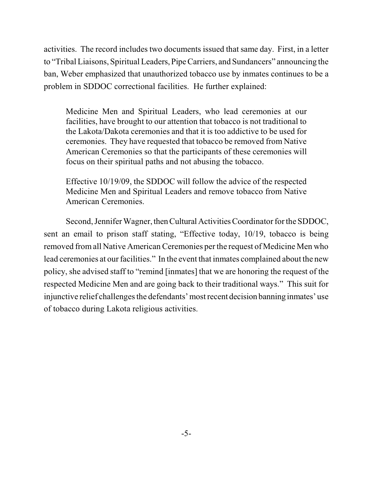activities. The record includes two documents issued that same day. First, in a letter to "Tribal Liaisons, Spiritual Leaders,Pipe Carriers, and Sundancers" announcing the ban, Weber emphasized that unauthorized tobacco use by inmates continues to be a problem in SDDOC correctional facilities. He further explained:

Medicine Men and Spiritual Leaders, who lead ceremonies at our facilities, have brought to our attention that tobacco is not traditional to the Lakota/Dakota ceremonies and that it is too addictive to be used for ceremonies. They have requested that tobacco be removed from Native American Ceremonies so that the participants of these ceremonies will focus on their spiritual paths and not abusing the tobacco.

Effective 10/19/09, the SDDOC will follow the advice of the respected Medicine Men and Spiritual Leaders and remove tobacco from Native American Ceremonies.

Second, Jennifer Wagner, then Cultural Activities Coordinator for the SDDOC, sent an email to prison staff stating, "Effective today, 10/19, tobacco is being removed fromall Native American Ceremonies per the request of Medicine Men who lead ceremonies at our facilities." In the event that inmates complained about the new policy, she advised staff to "remind [inmates] that we are honoring the request of the respected Medicine Men and are going back to their traditional ways." This suit for injunctive relief challenges the defendants' most recent decision banning inmates' use of tobacco during Lakota religious activities.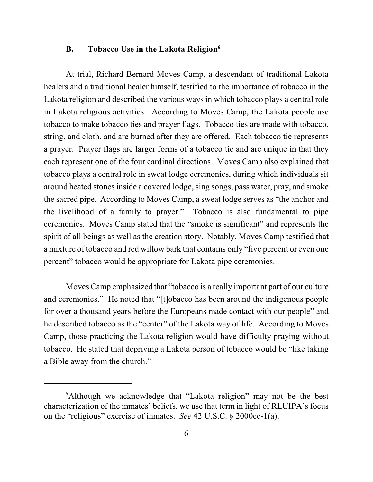## **B. Tobacco Use in the Lakota Religion 6**

At trial, Richard Bernard Moves Camp, a descendant of traditional Lakota healers and a traditional healer himself, testified to the importance of tobacco in the Lakota religion and described the various ways in which tobacco plays a central role in Lakota religious activities. According to Moves Camp, the Lakota people use tobacco to make tobacco ties and prayer flags. Tobacco ties are made with tobacco, string, and cloth, and are burned after they are offered. Each tobacco tie represents a prayer. Prayer flags are larger forms of a tobacco tie and are unique in that they each represent one of the four cardinal directions. Moves Camp also explained that tobacco plays a central role in sweat lodge ceremonies, during which individuals sit around heated stonesinside a covered lodge, sing songs, pass water, pray, and smoke the sacred pipe. According to Moves Camp, a sweat lodge serves as "the anchor and the livelihood of a family to prayer." Tobacco is also fundamental to pipe ceremonies. Moves Camp stated that the "smoke is significant" and represents the spirit of all beings as well as the creation story. Notably, Moves Camp testified that a mixture of tobacco and red willow bark that contains only "five percent or even one percent" tobacco would be appropriate for Lakota pipe ceremonies.

Moves Camp emphasized that "tobacco is a really important part of our culture and ceremonies." He noted that "[t]obacco has been around the indigenous people for over a thousand years before the Europeans made contact with our people" and he described tobacco as the "center" of the Lakota way of life. According to Moves Camp, those practicing the Lakota religion would have difficulty praying without tobacco. He stated that depriving a Lakota person of tobacco would be "like taking a Bible away from the church."

 $6$ Although we acknowledge that "Lakota religion" may not be the best characterization of the inmates' beliefs, we use that term in light of RLUIPA's focus on the "religious" exercise of inmates. *See* 42 U.S.C. § 2000cc-1(a).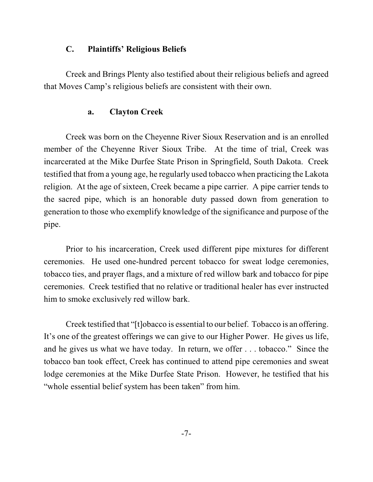## **C. Plaintiffs' Religious Beliefs**

Creek and Brings Plenty also testified about their religious beliefs and agreed that Moves Camp's religious beliefs are consistent with their own.

# **a. Clayton Creek**

Creek was born on the Cheyenne River Sioux Reservation and is an enrolled member of the Cheyenne River Sioux Tribe. At the time of trial, Creek was incarcerated at the Mike Durfee State Prison in Springfield, South Dakota. Creek testified that from a young age, he regularly used tobacco when practicing the Lakota religion. At the age of sixteen, Creek became a pipe carrier. A pipe carrier tends to the sacred pipe, which is an honorable duty passed down from generation to generation to those who exemplify knowledge of the significance and purpose of the pipe.

Prior to his incarceration, Creek used different pipe mixtures for different ceremonies. He used one-hundred percent tobacco for sweat lodge ceremonies, tobacco ties, and prayer flags, and a mixture of red willow bark and tobacco for pipe ceremonies. Creek testified that no relative or traditional healer has ever instructed him to smoke exclusively red willow bark.

Creek testified that "[t]obacco is essential to our belief. Tobacco is an offering. It's one of the greatest offerings we can give to our Higher Power. He gives us life, and he gives us what we have today. In return, we offer . . . tobacco." Since the tobacco ban took effect, Creek has continued to attend pipe ceremonies and sweat lodge ceremonies at the Mike Durfee State Prison. However, he testified that his "whole essential belief system has been taken" from him.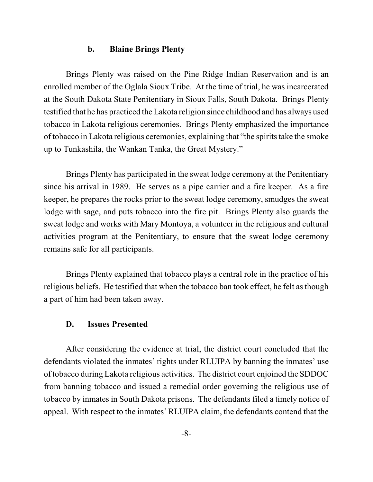#### **b. Blaine Brings Plenty**

Brings Plenty was raised on the Pine Ridge Indian Reservation and is an enrolled member of the Oglala Sioux Tribe. At the time of trial, he was incarcerated at the South Dakota State Penitentiary in Sioux Falls, South Dakota. Brings Plenty testified that he has practiced the Lakota religion since childhood and has always used tobacco in Lakota religious ceremonies. Brings Plenty emphasized the importance of tobacco in Lakota religious ceremonies, explaining that "the spiritstake the smoke up to Tunkashila, the Wankan Tanka, the Great Mystery."

Brings Plenty has participated in the sweat lodge ceremony at the Penitentiary since his arrival in 1989. He serves as a pipe carrier and a fire keeper. As a fire keeper, he prepares the rocks prior to the sweat lodge ceremony, smudges the sweat lodge with sage, and puts tobacco into the fire pit. Brings Plenty also guards the sweat lodge and works with Mary Montoya, a volunteer in the religious and cultural activities program at the Penitentiary, to ensure that the sweat lodge ceremony remains safe for all participants.

Brings Plenty explained that tobacco plays a central role in the practice of his religious beliefs. He testified that when the tobacco ban took effect, he felt as though a part of him had been taken away.

#### **D. Issues Presented**

After considering the evidence at trial, the district court concluded that the defendants violated the inmates' rights under RLUIPA by banning the inmates' use of tobacco during Lakota religious activities. The district court enjoined the SDDOC from banning tobacco and issued a remedial order governing the religious use of tobacco by inmates in South Dakota prisons. The defendants filed a timely notice of appeal. With respect to the inmates' RLUIPA claim, the defendants contend that the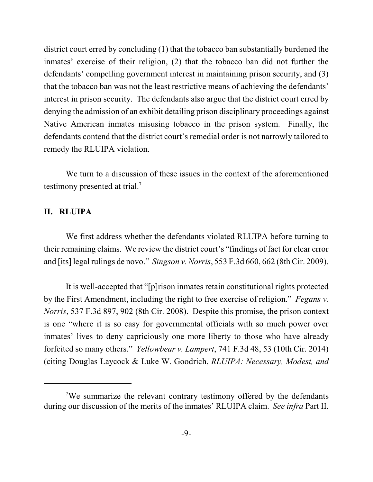district court erred by concluding (1) that the tobacco ban substantially burdened the inmates' exercise of their religion, (2) that the tobacco ban did not further the defendants' compelling government interest in maintaining prison security, and (3) that the tobacco ban was not the least restrictive means of achieving the defendants' interest in prison security. The defendants also argue that the district court erred by denying the admission of an exhibit detailing prison disciplinary proceedings against Native American inmates misusing tobacco in the prison system. Finally, the defendants contend that the district court's remedial order is not narrowly tailored to remedy the RLUIPA violation.

We turn to a discussion of these issues in the context of the aforementioned testimony presented at trial.<sup>7</sup>

#### **II. RLUIPA**

We first address whether the defendants violated RLUIPA before turning to their remaining claims. We review the district court's "findings of fact for clear error and [its] legal rulings de novo." *Singson v. Norris*, 553 F.3d 660, 662 (8th Cir. 2009).

It is well-accepted that "[p]rison inmates retain constitutional rights protected by the First Amendment, including the right to free exercise of religion." *Fegans v. Norris*, 537 F.3d 897, 902 (8th Cir. 2008). Despite this promise, the prison context is one "where it is so easy for governmental officials with so much power over inmates' lives to deny capriciously one more liberty to those who have already forfeited so many others." *Yellowbear v. Lampert*, 741 F.3d 48, 53 (10th Cir. 2014) (citing Douglas Laycock & Luke W. Goodrich, *RLUIPA: Necessary, Modest, and*

 $\sqrt{7}$ We summarize the relevant contrary testimony offered by the defendants during our discussion of the merits of the inmates' RLUIPA claim. *See infra* Part II.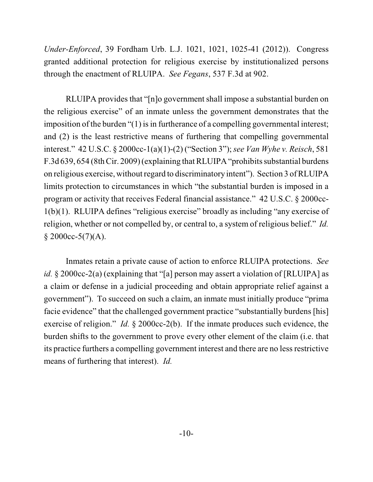*Under-Enforced*, 39 Fordham Urb. L.J. 1021, 1021, 1025-41 (2012)). Congress granted additional protection for religious exercise by institutionalized persons through the enactment of RLUIPA. *See Fegans*, 537 F.3d at 902.

RLUIPA provides that "[n]o government shall impose a substantial burden on the religious exercise" of an inmate unless the government demonstrates that the imposition of the burden  $(1)$  is in furtherance of a compelling governmental interest; and (2) is the least restrictive means of furthering that compelling governmental interest." 42 U.S.C. § 2000cc-1(a)(1)-(2) ("Section 3"); *see Van Wyhe v. Reisch*, 581 F.3d 639, 654 (8thCir. 2009) (explaining thatRLUIPA "prohibits substantial burdens on religious exercise, without regard to discriminatory intent"). Section 3 of RLUIPA limits protection to circumstances in which "the substantial burden is imposed in a program or activity that receives Federal financial assistance." 42 U.S.C. § 2000cc-1(b)(1). RLUIPA defines "religious exercise" broadly as including "any exercise of religion, whether or not compelled by, or central to, a system of religious belief." *Id.*  $$2000cc-5(7)(A).$ 

Inmates retain a private cause of action to enforce RLUIPA protections. *See id.* § 2000cc-2(a) (explaining that "[a] person may assert a violation of [RLUIPA] as a claim or defense in a judicial proceeding and obtain appropriate relief against a government"). To succeed on such a claim, an inmate must initially produce "prima facie evidence" that the challenged government practice "substantially burdens [his] exercise of religion." *Id.* § 2000cc-2(b). If the inmate produces such evidence, the burden shifts to the government to prove every other element of the claim (i.e. that its practice furthers a compelling government interest and there are no less restrictive means of furthering that interest). *Id.*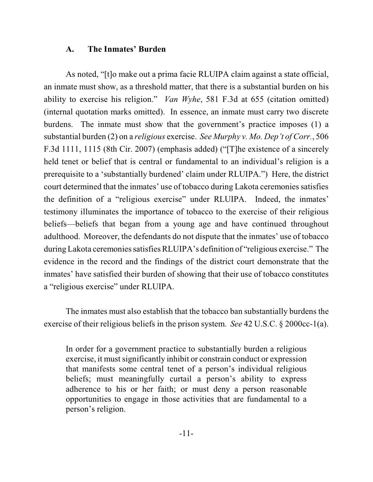## **A. The Inmates' Burden**

As noted, "[t]o make out a prima facie RLUIPA claim against a state official, an inmate must show, as a threshold matter, that there is a substantial burden on his ability to exercise his religion." *Van Wyhe*, 581 F.3d at 655 (citation omitted) (internal quotation marks omitted). In essence, an inmate must carry two discrete burdens. The inmate must show that the government's practice imposes (1) a substantial burden (2) on a *religious* exercise. *See Murphy v. Mo. Dep't of Corr.*, 506 F.3d 1111, 1115 (8th Cir. 2007) (emphasis added) ("[T]he existence of a sincerely held tenet or belief that is central or fundamental to an individual's religion is a prerequisite to a 'substantially burdened' claim under RLUIPA.") Here, the district court determined that the inmates' use of tobacco during Lakota ceremonies satisfies the definition of a "religious exercise" under RLUIPA. Indeed, the inmates' testimony illuminates the importance of tobacco to the exercise of their religious beliefs—beliefs that began from a young age and have continued throughout adulthood. Moreover, the defendants do not dispute that the inmates' use of tobacco during Lakota ceremonies satisfies RLUIPA's definition of "religious exercise." The evidence in the record and the findings of the district court demonstrate that the inmates' have satisfied their burden of showing that their use of tobacco constitutes a "religious exercise" under RLUIPA.

The inmates must also establish that the tobacco ban substantially burdens the exercise of their religious beliefs in the prison system. *See* 42 U.S.C. § 2000cc-1(a).

In order for a government practice to substantially burden a religious exercise, it must significantly inhibit or constrain conduct or expression that manifests some central tenet of a person's individual religious beliefs; must meaningfully curtail a person's ability to express adherence to his or her faith; or must deny a person reasonable opportunities to engage in those activities that are fundamental to a person's religion.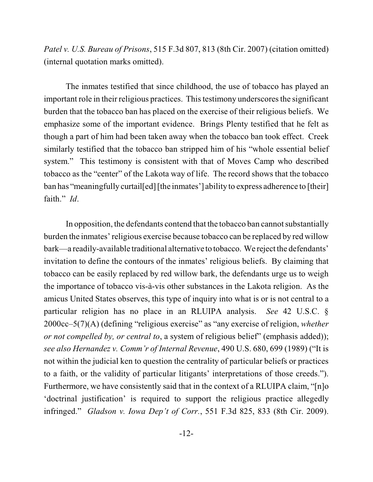*Patel v. U.S. Bureau of Prisons*, 515 F.3d 807, 813 (8th Cir. 2007) (citation omitted) (internal quotation marks omitted).

The inmates testified that since childhood, the use of tobacco has played an important role in their religious practices. This testimony underscores the significant burden that the tobacco ban has placed on the exercise of their religious beliefs. We emphasize some of the important evidence. Brings Plenty testified that he felt as though a part of him had been taken away when the tobacco ban took effect. Creek similarly testified that the tobacco ban stripped him of his "whole essential belief system." This testimony is consistent with that of Moves Camp who described tobacco as the "center" of the Lakota way of life. The record shows that the tobacco ban has "meaningfully curtail [ed] [the inmates'] ability to express adherence to [their] faith." *Id*.

In opposition, the defendants contend that the tobacco ban cannot substantially burden the inmates' religious exercise because tobacco can be replaced by red willow bark—a readily-available traditional alternative to tobacco. We reject the defendants' invitation to define the contours of the inmates' religious beliefs. By claiming that tobacco can be easily replaced by red willow bark, the defendants urge us to weigh the importance of tobacco vis-à-vis other substances in the Lakota religion. As the amicus United States observes, this type of inquiry into what is or is not central to a particular religion has no place in an RLUIPA analysis. *See* 42 U.S.C. § 2000cc–5(7)(A) (defining "religious exercise" as "any exercise of religion, *whether or not compelled by, or central to*, a system of religious belief" (emphasis added)); *see also Hernandez v. Comm'r of Internal Revenue*, 490 U.S. 680, 699 (1989) ("It is not within the judicial ken to question the centrality of particular beliefs or practices to a faith, or the validity of particular litigants' interpretations of those creeds."). Furthermore, we have consistently said that in the context of a RLUIPA claim, "[n]o 'doctrinal justification' is required to support the religious practice allegedly infringed." *Gladson v. Iowa Dep't of Corr.*, 551 F.3d 825, 833 (8th Cir. 2009).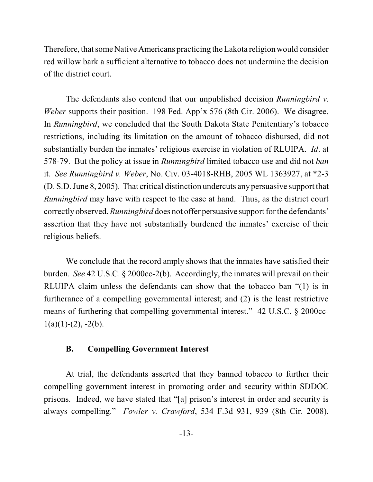Therefore, that some Native Americans practicing the Lakota religion would consider red willow bark a sufficient alternative to tobacco does not undermine the decision of the district court.

The defendants also contend that our unpublished decision *Runningbird v. Weber* supports their position. 198 Fed. App'x 576 (8th Cir. 2006). We disagree. In *Runningbird*, we concluded that the South Dakota State Penitentiary's tobacco restrictions, including its limitation on the amount of tobacco disbursed, did not substantially burden the inmates' religious exercise in violation of RLUIPA. *Id*. at 578-79. But the policy at issue in *Runningbird* limited tobacco use and did not *ban* it. *See Runningbird v. Weber*, No. Civ. 03-4018-RHB, 2005 WL 1363927, at \*2-3 (D. S.D. June 8, 2005). That critical distinction undercuts any persuasive support that *Runningbird* may have with respect to the case at hand. Thus, as the district court correctly observed, *Runningbird* does not offer persuasive support for the defendants' assertion that they have not substantially burdened the inmates' exercise of their religious beliefs.

We conclude that the record amply shows that the inmates have satisfied their burden. *See* 42 U.S.C. § 2000cc-2(b). Accordingly, the inmates will prevail on their RLUIPA claim unless the defendants can show that the tobacco ban "(1) is in furtherance of a compelling governmental interest; and (2) is the least restrictive means of furthering that compelling governmental interest." 42 U.S.C. § 2000cc- $1(a)(1)-(2)$ ,  $-2(b)$ .

# **B. Compelling Government Interest**

At trial, the defendants asserted that they banned tobacco to further their compelling government interest in promoting order and security within SDDOC prisons. Indeed, we have stated that "[a] prison's interest in order and security is always compelling." *Fowler v. Crawford*, 534 F.3d 931, 939 (8th Cir. 2008).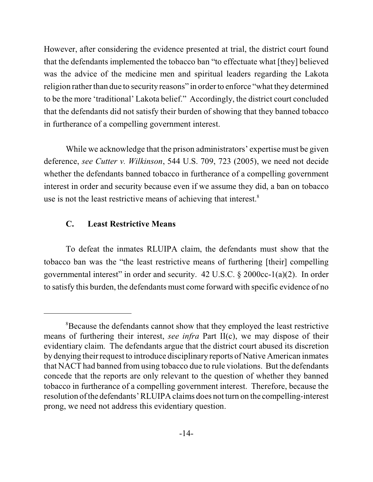However, after considering the evidence presented at trial, the district court found that the defendants implemented the tobacco ban "to effectuate what [they] believed was the advice of the medicine men and spiritual leaders regarding the Lakota religion rather than due to security reasons" in order to enforce "what they determined to be the more 'traditional' Lakota belief." Accordingly, the district court concluded that the defendants did not satisfy their burden of showing that they banned tobacco in furtherance of a compelling government interest.

While we acknowledge that the prison administrators' expertise must be given deference, *see Cutter v. Wilkinson*, 544 U.S. 709, 723 (2005), we need not decide whether the defendants banned tobacco in furtherance of a compelling government interest in order and security because even if we assume they did, a ban on tobacco use is not the least restrictive means of achieving that interest.<sup>8</sup>

# **C. Least Restrictive Means**

To defeat the inmates RLUIPA claim, the defendants must show that the tobacco ban was the "the least restrictive means of furthering [their] compelling governmental interest" in order and security.  $42 \text{ U.S.C.} \& 2000 \text{cc-1(a)(2)}$ . In order to satisfy this burden, the defendants must come forward with specific evidence of no

<sup>&</sup>lt;sup>8</sup>Because the defendants cannot show that they employed the least restrictive means of furthering their interest, *see infra* Part II(c), we may dispose of their evidentiary claim. The defendants argue that the district court abused its discretion by denying their request to introduce disciplinary reports of Native American inmates that NACT had banned from using tobacco due to rule violations. But the defendants concede that the reports are only relevant to the question of whether they banned tobacco in furtherance of a compelling government interest. Therefore, because the resolution ofthe defendants' RLUIPA claims does not turn on the compelling-interest prong, we need not address this evidentiary question.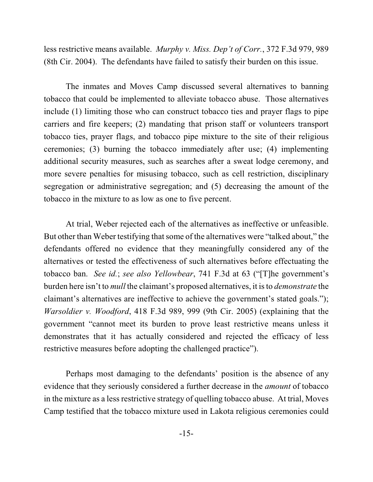less restrictive means available. *Murphy v. Miss. Dep't of Corr.*, 372 F.3d 979, 989 (8th Cir. 2004). The defendants have failed to satisfy their burden on this issue.

The inmates and Moves Camp discussed several alternatives to banning tobacco that could be implemented to alleviate tobacco abuse. Those alternatives include (1) limiting those who can construct tobacco ties and prayer flags to pipe carriers and fire keepers; (2) mandating that prison staff or volunteers transport tobacco ties, prayer flags, and tobacco pipe mixture to the site of their religious ceremonies; (3) burning the tobacco immediately after use; (4) implementing additional security measures, such as searches after a sweat lodge ceremony, and more severe penalties for misusing tobacco, such as cell restriction, disciplinary segregation or administrative segregation; and (5) decreasing the amount of the tobacco in the mixture to as low as one to five percent.

At trial, Weber rejected each of the alternatives as ineffective or unfeasible. But other than Weber testifying that some of the alternatives were "talked about," the defendants offered no evidence that they meaningfully considered any of the alternatives or tested the effectiveness of such alternatives before effectuating the tobacco ban. *See id.*; *see also Yellowbear*, 741 F.3d at 63 ("[T]he government's burden here isn't to *mull* the claimant's proposed alternatives, it isto *demonstrate* the claimant's alternatives are ineffective to achieve the government's stated goals."); *Warsoldier v. Woodford*, 418 F.3d 989, 999 (9th Cir. 2005) (explaining that the government "cannot meet its burden to prove least restrictive means unless it demonstrates that it has actually considered and rejected the efficacy of less restrictive measures before adopting the challenged practice").

Perhaps most damaging to the defendants' position is the absence of any evidence that they seriously considered a further decrease in the *amount* of tobacco in the mixture as a less restrictive strategy of quelling tobacco abuse. At trial, Moves Camp testified that the tobacco mixture used in Lakota religious ceremonies could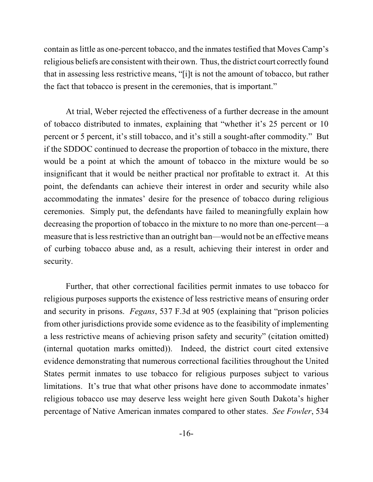contain as little as one-percent tobacco, and the inmates testified that Moves Camp's religious beliefs are consistent with their own. Thus, the district court correctly found that in assessing less restrictive means, "[i]t is not the amount of tobacco, but rather the fact that tobacco is present in the ceremonies, that is important."

At trial, Weber rejected the effectiveness of a further decrease in the amount of tobacco distributed to inmates, explaining that "whether it's 25 percent or 10 percent or 5 percent, it's still tobacco, and it's still a sought-after commodity." But if the SDDOC continued to decrease the proportion of tobacco in the mixture, there would be a point at which the amount of tobacco in the mixture would be so insignificant that it would be neither practical nor profitable to extract it. At this point, the defendants can achieve their interest in order and security while also accommodating the inmates' desire for the presence of tobacco during religious ceremonies. Simply put, the defendants have failed to meaningfully explain how decreasing the proportion of tobacco in the mixture to no more than one-percent—a measure that is less restrictive than an outright ban—would not be an effective means of curbing tobacco abuse and, as a result, achieving their interest in order and security.

Further, that other correctional facilities permit inmates to use tobacco for religious purposes supports the existence of less restrictive means of ensuring order and security in prisons. *Fegans*, 537 F.3d at 905 (explaining that "prison policies from other jurisdictions provide some evidence as to the feasibility of implementing a less restrictive means of achieving prison safety and security" (citation omitted) (internal quotation marks omitted)). Indeed, the district court cited extensive evidence demonstrating that numerous correctional facilities throughout the United States permit inmates to use tobacco for religious purposes subject to various limitations. It's true that what other prisons have done to accommodate inmates' religious tobacco use may deserve less weight here given South Dakota's higher percentage of Native American inmates compared to other states. *See Fowler*, 534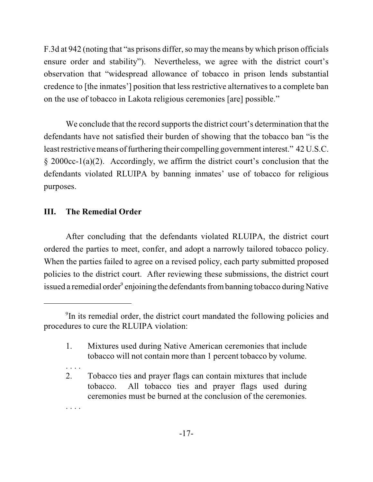F.3d at 942 (noting that "as prisons differ, so may the means by which prison officials ensure order and stability"). Nevertheless, we agree with the district court's observation that "widespread allowance of tobacco in prison lends substantial credence to [the inmates'] position that less restrictive alternatives to a complete ban on the use of tobacco in Lakota religious ceremonies [are] possible."

We conclude that the record supports the district court's determination that the defendants have not satisfied their burden of showing that the tobacco ban "is the least restrictive means of furthering their compelling government interest." 42 U.S.C. § 2000cc-1(a)(2). Accordingly, we affirm the district court's conclusion that the defendants violated RLUIPA by banning inmates' use of tobacco for religious purposes.

# **III. The Remedial Order**

After concluding that the defendants violated RLUIPA, the district court ordered the parties to meet, confer, and adopt a narrowly tailored tobacco policy. When the parties failed to agree on a revised policy, each party submitted proposed policies to the district court. After reviewing these submissions, the district court issued a remedial order  $\degree$  enjoining the defendants from banning tobacco during Native

. . . .

<sup>&</sup>lt;sup>9</sup>In its remedial order, the district court mandated the following policies and procedures to cure the RLUIPA violation:

<sup>1.</sup> Mixtures used during Native American ceremonies that include tobacco will not contain more than 1 percent tobacco by volume.

<sup>2.</sup> Tobacco ties and prayer flags can contain mixtures that include tobacco. All tobacco ties and prayer flags used during ceremonies must be burned at the conclusion of the ceremonies.

<sup>. . . .</sup>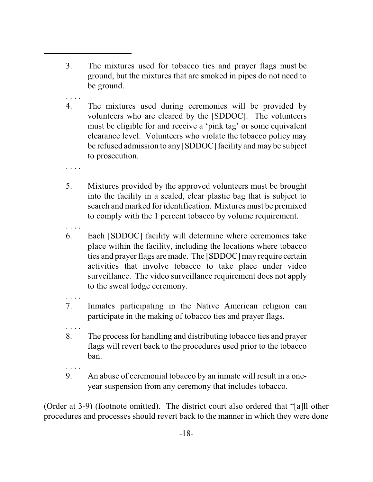- 3. The mixtures used for tobacco ties and prayer flags must be ground, but the mixtures that are smoked in pipes do not need to be ground.
- . . . . 4. The mixtures used during ceremonies will be provided by volunteers who are cleared by the [SDDOC]. The volunteers must be eligible for and receive a 'pink tag' or some equivalent clearance level. Volunteers who violate the tobacco policy may be refused admission to any [SDDOC] facility and may be subject to prosecution.
- . . . .

. . . .

- 5. Mixtures provided by the approved volunteers must be brought into the facility in a sealed, clear plastic bag that is subject to search and marked for identification. Mixtures must be premixed to comply with the 1 percent tobacco by volume requirement.
- 6. Each [SDDOC] facility will determine where ceremonies take place within the facility, including the locations where tobacco ties and prayer flags are made. The [SDDOC] may require certain activities that involve tobacco to take place under video surveillance. The video surveillance requirement does not apply to the sweat lodge ceremony.
- . . . . 7. Inmates participating in the Native American religion can participate in the making of tobacco ties and prayer flags.
- 8. The process for handling and distributing tobacco ties and prayer flags will revert back to the procedures used prior to the tobacco ban.
- . . . .

. . . .

9. An abuse of ceremonial tobacco by an inmate will result in a oneyear suspension from any ceremony that includes tobacco.

(Order at 3-9) (footnote omitted). The district court also ordered that "[a]ll other procedures and processes should revert back to the manner in which they were done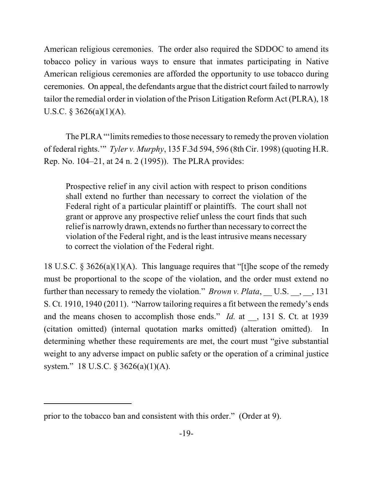American religious ceremonies. The order also required the SDDOC to amend its tobacco policy in various ways to ensure that inmates participating in Native American religious ceremonies are afforded the opportunity to use tobacco during ceremonies. On appeal, the defendants argue that the district court failed to narrowly tailor the remedial order in violation of the Prison Litigation Reform Act (PLRA), 18 U.S.C. § 3626(a)(1)(A).

The PLRA "'limits remedies to those necessary to remedy the proven violation of federal rights.'" *Tyler v. Murphy*, 135 F.3d 594, 596 (8th Cir. 1998) (quoting H.R. Rep. No. 104–21, at 24 n. 2 (1995)). The PLRA provides:

Prospective relief in any civil action with respect to prison conditions shall extend no further than necessary to correct the violation of the Federal right of a particular plaintiff or plaintiffs. The court shall not grant or approve any prospective relief unless the court finds that such relief is narrowly drawn, extends no further than necessary to correct the violation of the Federal right, and is the least intrusive means necessary to correct the violation of the Federal right.

18 U.S.C. § 3626(a)(1)(A). This language requires that "[t]he scope of the remedy must be proportional to the scope of the violation, and the order must extend no further than necessary to remedy the violation." *Brown v. Plata*, U.S. , , 131 S. Ct. 1910, 1940 (2011). "Narrow tailoring requires a fit between the remedy's ends and the means chosen to accomplish those ends." *Id.* at \_\_, 131 S. Ct. at 1939 (citation omitted) (internal quotation marks omitted) (alteration omitted). In determining whether these requirements are met, the court must "give substantial weight to any adverse impact on public safety or the operation of a criminal justice system." 18 U.S.C. § 3626(a)(1)(A).

prior to the tobacco ban and consistent with this order." (Order at 9).